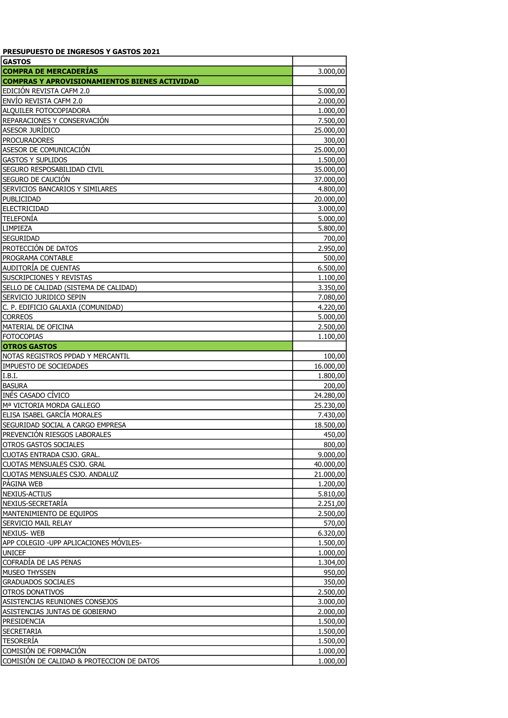| <b>PRESUPUESTO DE INGRESOS Y GASTOS 2021</b>         |           |
|------------------------------------------------------|-----------|
| <b>GASTOS</b>                                        |           |
| <b>COMPRA DE MERCADERÍAS</b>                         | 3.000,00  |
| <b>COMPRAS Y APROVISIONAMIENTOS BIENES ACTIVIDAD</b> |           |
| EDICIÓN REVISTA CAFM 2.0                             | 5.000,00  |
| ENVÍO REVISTA CAFM 2.0                               | 2.000,00  |
| ALQUILER FOTOCOPIADORA                               | 1.000,00  |
| REPARACIONES Y CONSERVACIÓN                          | 7.500,00  |
| ASESOR JURÍDICO                                      | 25.000,00 |
| <b>PROCURADORES</b>                                  | 300,00    |
| ASESOR DE COMUNICACIÓN                               | 25.000,00 |
| <b>GASTOS Y SUPLIDOS</b>                             | 1.500,00  |
| SEGURO RESPOSABILIDAD CIVIL                          | 35.000,00 |
| SEGURO DE CAUCIÓN                                    | 37.000,00 |
| SERVICIOS BANCARIOS Y SIMILARES                      | 4.800,00  |
| PUBLICIDAD                                           | 20.000,00 |
| <b>ELECTRICIDAD</b>                                  | 3.000,00  |
| <b>TELEFONÍA</b>                                     | 5.000,00  |
| LIMPIEZA                                             | 5.800,00  |
| <b>SEGURIDAD</b>                                     | 700,00    |
| PROTECCIÓN DE DATOS                                  | 2.950,00  |
| PROGRAMA CONTABLE                                    | 500,00    |
| AUDITORÍA DE CUENTAS                                 | 6.500,00  |
| SUSCRIPCIONES Y REVISTAS                             | 1.100,00  |
| SELLO DE CALIDAD (SISTEMA DE CALIDAD)                | 3.350,00  |
| SERVICIO JURIDICO SEPIN                              | 7.080,00  |
| C. P. EDIFICIO GALAXIA (COMUNIDAD)                   | 4.220,00  |
| <b>CORREOS</b>                                       | 5.000,00  |
| MATERIAL DE OFICINA                                  | 2.500,00  |
| <b>FOTOCOPIAS</b>                                    | 1.100,00  |
| <b>OTROS GASTOS</b>                                  |           |
| NOTAS REGISTROS PPDAD Y MERCANTIL                    | 100,00    |
| <b>IMPUESTO DE SOCIEDADES</b>                        | 16.000,00 |
| I.B.I.                                               | 1.800,00  |
| <b>BASURA</b>                                        | 200,00    |
| INÉS CASADO CÍVICO                                   | 24.280,00 |
| Mª VICTORIA MORDA GALLEGO                            | 25.230,00 |
| ELISA ISABEL GARCÍA MORALES                          | 7.430,00  |
| SEGURIDAD SOCIAL A CARGO EMPRESA                     | 18.500,00 |
| PREVENCIÓN RIESGOS LABORALES                         | 450,00    |
| OTROS GASTOS SOCIALES                                | 800,00    |
| CUOTAS ENTRADA CSJO. GRAL.                           | 9.000,00  |
| CUOTAS MENSUALES CSJO. GRAL                          | 40.000,00 |
| CUOTAS MENSUALES CSJO. ANDALUZ                       | 21.000,00 |
| PÁGINA WEB                                           | 1.200,00  |
| NEXIUS-ACTIUS                                        | 5.810,00  |
| NEXIUS-SECRETARIA                                    | 2.251,00  |
| MANTENIMIENTO DE EQUIPOS                             | 2.500,00  |
| SERVICIO MAIL RELAY                                  | 570,00    |
| <b>NEXIUS-WEB</b>                                    | 6.320,00  |
| APP COLEGIO - UPP APLICACIONES MÓVILES-              | 1.500,00  |
| <b>UNICEF</b>                                        | 1.000,00  |
| COFRADIA DE LAS PENAS                                | 1.304,00  |
| MUSEO THYSSEN                                        | 950,00    |
| <b>GRADUADOS SOCIALES</b>                            | 350,00    |
| OTROS DONATIVOS                                      | 2.500,00  |
| ASISTENCIAS REUNIONES CONSEJOS                       | 3.000,00  |
|                                                      |           |
| ASISTENCIAS JUNTAS DE GOBIERNO<br>PRESIDENCIA        | 2.000,00  |
| SECRETARIA                                           | 1.500,00  |
|                                                      | 1.500,00  |
| <b>TESORERÍA</b>                                     | 1.500,00  |
| COMISIÓN DE FORMACIÓN                                | 1.000,00  |
| COMISIÓN DE CALIDAD & PROTECCION DE DATOS            | 1.000,00  |